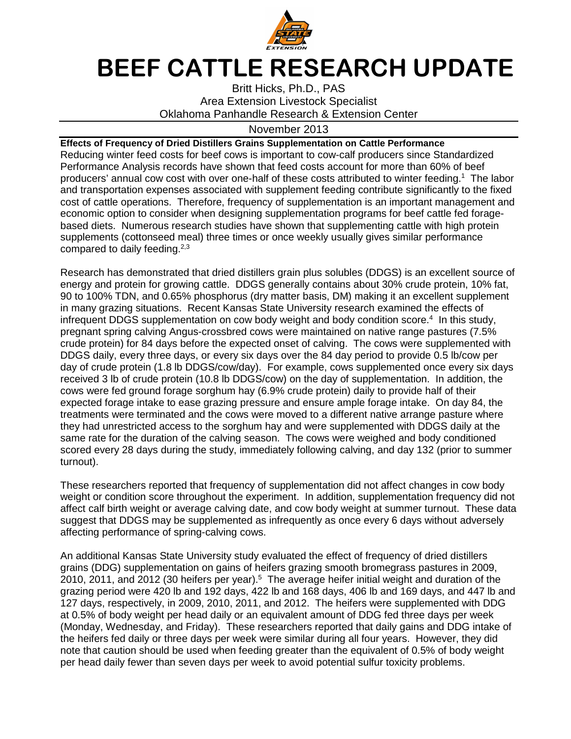

## **BEEF CATTLE RESEARCH UPDATE**

Britt Hicks, Ph.D., PAS Area Extension Livestock Specialist Oklahoma Panhandle Research & Extension Center

## November 2013

**Effects of Frequency of Dried Distillers Grains Supplementation on Cattle Performance**  Reducing winter feed costs for beef cows is important to cow-calf producers since Standardized Performance Analysis records have shown that feed costs account for more than 60% of beef producers' annual cow cost with over one-half of these costs attributed to winter feeding.<sup>1</sup> The labor and transportation expenses associated with supplement feeding contribute significantly to the fixed cost of cattle operations. Therefore, frequency of supplementation is an important management and economic option to consider when designing supplementation programs for beef cattle fed foragebased diets. Numerous research studies have shown that supplementing cattle with high protein supplements (cottonseed meal) three times or once weekly usually gives similar performance compared to daily feeding. $2,3$ 

Research has demonstrated that dried distillers grain plus solubles (DDGS) is an excellent source of energy and protein for growing cattle. DDGS generally contains about 30% crude protein, 10% fat, 90 to 100% TDN, and 0.65% phosphorus (dry matter basis, DM) making it an excellent supplement in many grazing situations. Recent Kansas State University research examined the effects of infrequent DDGS supplementation on cow body weight and body condition score.<sup>4</sup> In this study, pregnant spring calving Angus-crossbred cows were maintained on native range pastures (7.5% crude protein) for 84 days before the expected onset of calving. The cows were supplemented with DDGS daily, every three days, or every six days over the 84 day period to provide 0.5 lb/cow per day of crude protein (1.8 lb DDGS/cow/day). For example, cows supplemented once every six days received 3 lb of crude protein (10.8 lb DDGS/cow) on the day of supplementation. In addition, the cows were fed ground forage sorghum hay (6.9% crude protein) daily to provide half of their expected forage intake to ease grazing pressure and ensure ample forage intake. On day 84, the treatments were terminated and the cows were moved to a different native arrange pasture where they had unrestricted access to the sorghum hay and were supplemented with DDGS daily at the same rate for the duration of the calving season. The cows were weighed and body conditioned scored every 28 days during the study, immediately following calving, and day 132 (prior to summer turnout).

These researchers reported that frequency of supplementation did not affect changes in cow body weight or condition score throughout the experiment. In addition, supplementation frequency did not affect calf birth weight or average calving date, and cow body weight at summer turnout. These data suggest that DDGS may be supplemented as infrequently as once every 6 days without adversely affecting performance of spring-calving cows.

An additional Kansas State University study evaluated the effect of frequency of dried distillers grains (DDG) supplementation on gains of heifers grazing smooth bromegrass pastures in 2009, 2010, 2011, and 2012 (30 heifers per year).<sup>5</sup> The average heifer initial weight and duration of the grazing period were 420 lb and 192 days, 422 lb and 168 days, 406 lb and 169 days, and 447 lb and 127 days, respectively, in 2009, 2010, 2011, and 2012. The heifers were supplemented with DDG at 0.5% of body weight per head daily or an equivalent amount of DDG fed three days per week (Monday, Wednesday, and Friday). These researchers reported that daily gains and DDG intake of the heifers fed daily or three days per week were similar during all four years. However, they did note that caution should be used when feeding greater than the equivalent of 0.5% of body weight per head daily fewer than seven days per week to avoid potential sulfur toxicity problems.